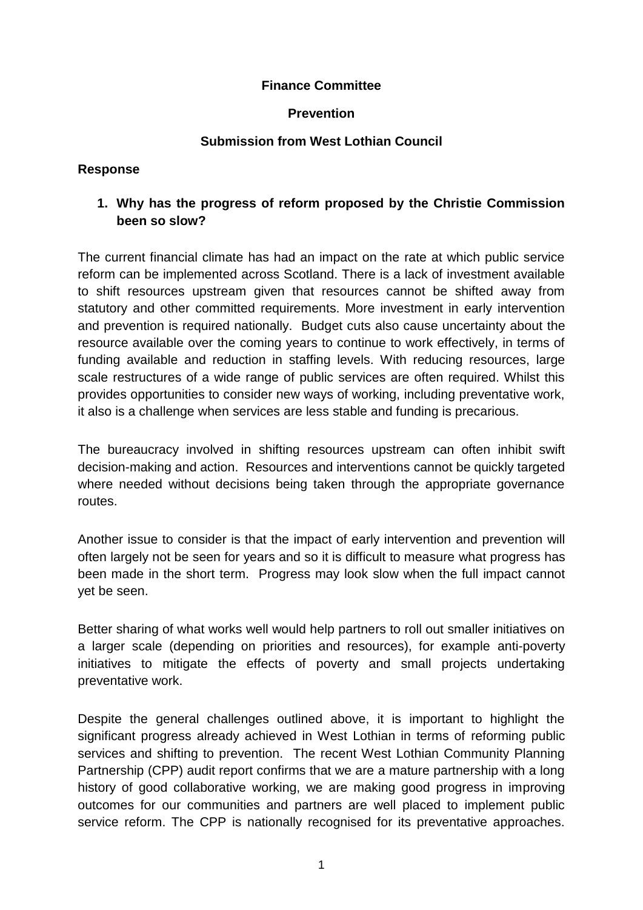### **Finance Committee**

#### **Prevention**

#### **Submission from West Lothian Council**

#### **Response**

## **1. Why has the progress of reform proposed by the Christie Commission been so slow?**

The current financial climate has had an impact on the rate at which public service reform can be implemented across Scotland. There is a lack of investment available to shift resources upstream given that resources cannot be shifted away from statutory and other committed requirements. More investment in early intervention and prevention is required nationally. Budget cuts also cause uncertainty about the resource available over the coming years to continue to work effectively, in terms of funding available and reduction in staffing levels. With reducing resources, large scale restructures of a wide range of public services are often required. Whilst this provides opportunities to consider new ways of working, including preventative work, it also is a challenge when services are less stable and funding is precarious.

The bureaucracy involved in shifting resources upstream can often inhibit swift decision-making and action. Resources and interventions cannot be quickly targeted where needed without decisions being taken through the appropriate governance routes.

Another issue to consider is that the impact of early intervention and prevention will often largely not be seen for years and so it is difficult to measure what progress has been made in the short term. Progress may look slow when the full impact cannot yet be seen.

Better sharing of what works well would help partners to roll out smaller initiatives on a larger scale (depending on priorities and resources), for example anti-poverty initiatives to mitigate the effects of poverty and small projects undertaking preventative work.

Despite the general challenges outlined above, it is important to highlight the significant progress already achieved in West Lothian in terms of reforming public services and shifting to prevention. The recent West Lothian Community Planning Partnership (CPP) audit report confirms that we are a mature partnership with a long history of good collaborative working, we are making good progress in improving outcomes for our communities and partners are well placed to implement public service reform. The CPP is nationally recognised for its preventative approaches.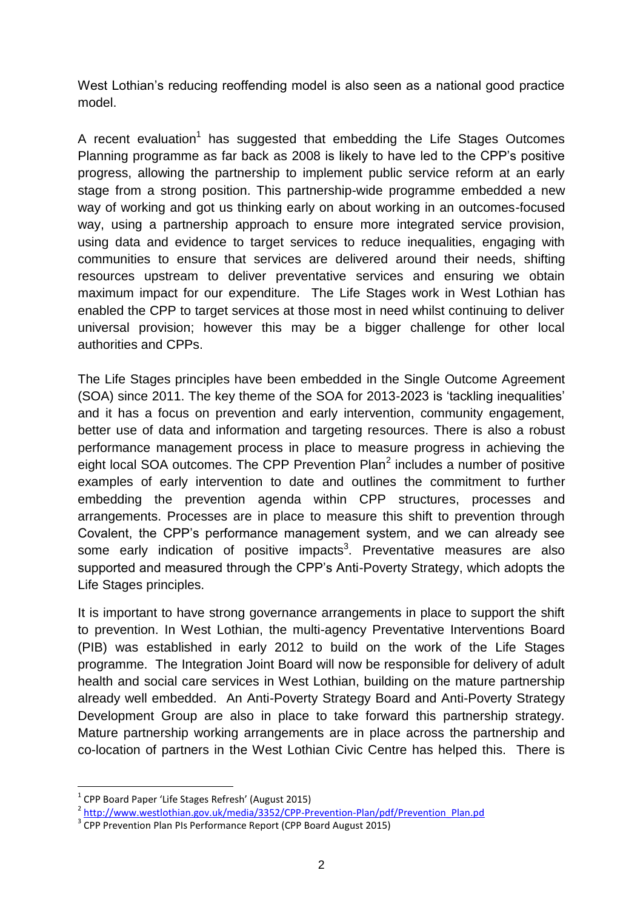West Lothian's reducing reoffending model is also seen as a national good practice model.

A recent evaluation<sup>1</sup> has suggested that embedding the Life Stages Outcomes Planning programme as far back as 2008 is likely to have led to the CPP's positive progress, allowing the partnership to implement public service reform at an early stage from a strong position. This partnership-wide programme embedded a new way of working and got us thinking early on about working in an outcomes-focused way, using a partnership approach to ensure more integrated service provision, using data and evidence to target services to reduce inequalities, engaging with communities to ensure that services are delivered around their needs, shifting resources upstream to deliver preventative services and ensuring we obtain maximum impact for our expenditure. The Life Stages work in West Lothian has enabled the CPP to target services at those most in need whilst continuing to deliver universal provision; however this may be a bigger challenge for other local authorities and CPPs.

The Life Stages principles have been embedded in the Single Outcome Agreement (SOA) since 2011. The key theme of the SOA for 2013-2023 is 'tackling inequalities' and it has a focus on prevention and early intervention, community engagement, better use of data and information and targeting resources. There is also a robust performance management process in place to measure progress in achieving the eight local SOA outcomes. The CPP Prevention Plan<sup>2</sup> includes a number of positive examples of early intervention to date and outlines the commitment to further embedding the prevention agenda within CPP structures, processes and arrangements. Processes are in place to measure this shift to prevention through Covalent, the CPP's performance management system, and we can already see some early indication of positive impacts<sup>3</sup>. Preventative measures are also supported and measured through the CPP's Anti-Poverty Strategy, which adopts the Life Stages principles.

It is important to have strong governance arrangements in place to support the shift to prevention. In West Lothian, the multi-agency Preventative Interventions Board (PIB) was established in early 2012 to build on the work of the Life Stages programme. The Integration Joint Board will now be responsible for delivery of adult health and social care services in West Lothian, building on the mature partnership already well embedded. An Anti-Poverty Strategy Board and Anti-Poverty Strategy Development Group are also in place to take forward this partnership strategy. Mature partnership working arrangements are in place across the partnership and co-location of partners in the West Lothian Civic Centre has helped this. There is

**.** 

<sup>&</sup>lt;sup>1</sup> CPP Board Paper 'Life Stages Refresh' (August 2015)

<sup>&</sup>lt;sup>2</sup> [http://www.westlothian.gov.uk/media/3352/CPP-Prevention-Plan/pdf/Prevention\\_Plan.pd](http://www.westlothian.gov.uk/media/3352/CPP-Prevention-Plan/pdf/Prevention_Plan.pd)

<sup>&</sup>lt;sup>3</sup> CPP Prevention Plan PIs Performance Report (CPP Board August 2015)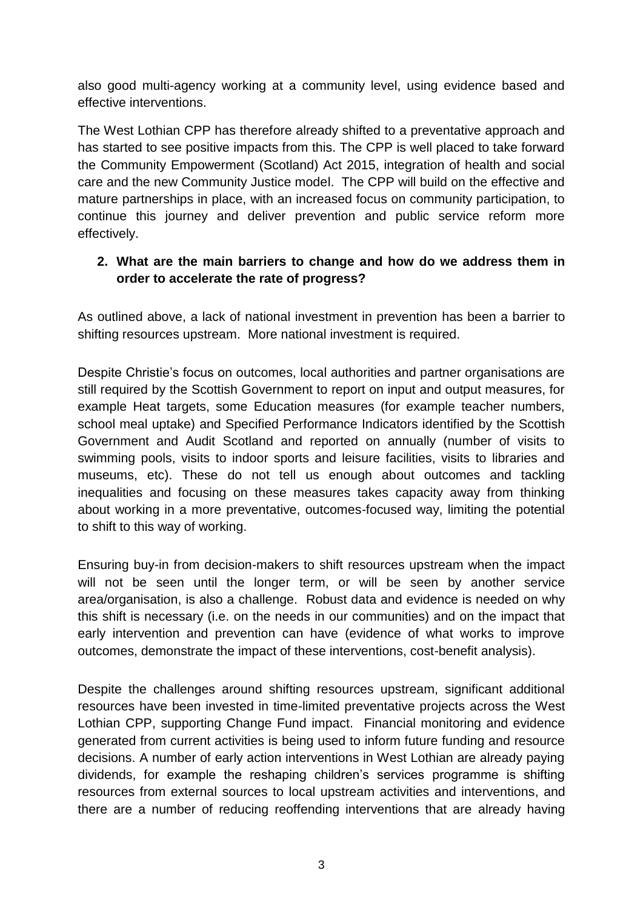also good multi-agency working at a community level, using evidence based and effective interventions.

The West Lothian CPP has therefore already shifted to a preventative approach and has started to see positive impacts from this. The CPP is well placed to take forward the Community Empowerment (Scotland) Act 2015, integration of health and social care and the new Community Justice model. The CPP will build on the effective and mature partnerships in place, with an increased focus on community participation, to continue this journey and deliver prevention and public service reform more effectively.

## **2. What are the main barriers to change and how do we address them in order to accelerate the rate of progress?**

As outlined above, a lack of national investment in prevention has been a barrier to shifting resources upstream. More national investment is required.

Despite Christie's focus on outcomes, local authorities and partner organisations are still required by the Scottish Government to report on input and output measures, for example Heat targets, some Education measures (for example teacher numbers, school meal uptake) and Specified Performance Indicators identified by the Scottish Government and Audit Scotland and reported on annually (number of visits to swimming pools, visits to indoor sports and leisure facilities, visits to libraries and museums, etc). These do not tell us enough about outcomes and tackling inequalities and focusing on these measures takes capacity away from thinking about working in a more preventative, outcomes-focused way, limiting the potential to shift to this way of working.

Ensuring buy-in from decision-makers to shift resources upstream when the impact will not be seen until the longer term, or will be seen by another service area/organisation, is also a challenge. Robust data and evidence is needed on why this shift is necessary (i.e. on the needs in our communities) and on the impact that early intervention and prevention can have (evidence of what works to improve outcomes, demonstrate the impact of these interventions, cost-benefit analysis).

Despite the challenges around shifting resources upstream, significant additional resources have been invested in time-limited preventative projects across the West Lothian CPP, supporting Change Fund impact. Financial monitoring and evidence generated from current activities is being used to inform future funding and resource decisions. A number of early action interventions in West Lothian are already paying dividends, for example the reshaping children's services programme is shifting resources from external sources to local upstream activities and interventions, and there are a number of reducing reoffending interventions that are already having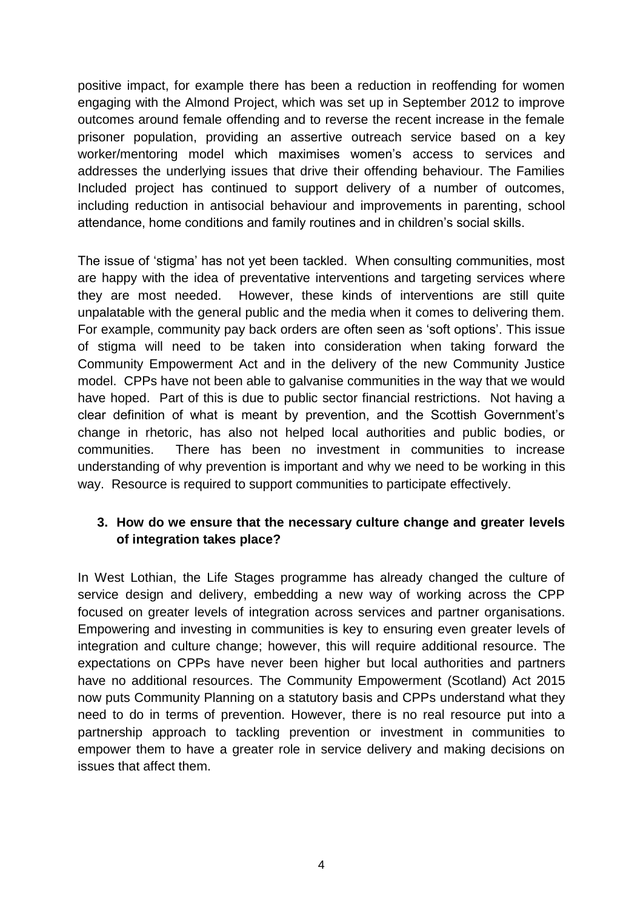positive impact, for example there has been a reduction in reoffending for women engaging with the Almond Project, which was set up in September 2012 to improve outcomes around female offending and to reverse the recent increase in the female prisoner population, providing an assertive outreach service based on a key worker/mentoring model which maximises women's access to services and addresses the underlying issues that drive their offending behaviour. The Families Included project has continued to support delivery of a number of outcomes, including reduction in antisocial behaviour and improvements in parenting, school attendance, home conditions and family routines and in children's social skills.

The issue of 'stigma' has not yet been tackled. When consulting communities, most are happy with the idea of preventative interventions and targeting services where they are most needed. However, these kinds of interventions are still quite unpalatable with the general public and the media when it comes to delivering them. For example, community pay back orders are often seen as 'soft options'. This issue of stigma will need to be taken into consideration when taking forward the Community Empowerment Act and in the delivery of the new Community Justice model. CPPs have not been able to galvanise communities in the way that we would have hoped. Part of this is due to public sector financial restrictions. Not having a clear definition of what is meant by prevention, and the Scottish Government's change in rhetoric, has also not helped local authorities and public bodies, or communities. There has been no investment in communities to increase understanding of why prevention is important and why we need to be working in this way. Resource is required to support communities to participate effectively.

### **3. How do we ensure that the necessary culture change and greater levels of integration takes place?**

In West Lothian, the Life Stages programme has already changed the culture of service design and delivery, embedding a new way of working across the CPP focused on greater levels of integration across services and partner organisations. Empowering and investing in communities is key to ensuring even greater levels of integration and culture change; however, this will require additional resource. The expectations on CPPs have never been higher but local authorities and partners have no additional resources. The Community Empowerment (Scotland) Act 2015 now puts Community Planning on a statutory basis and CPPs understand what they need to do in terms of prevention. However, there is no real resource put into a partnership approach to tackling prevention or investment in communities to empower them to have a greater role in service delivery and making decisions on issues that affect them.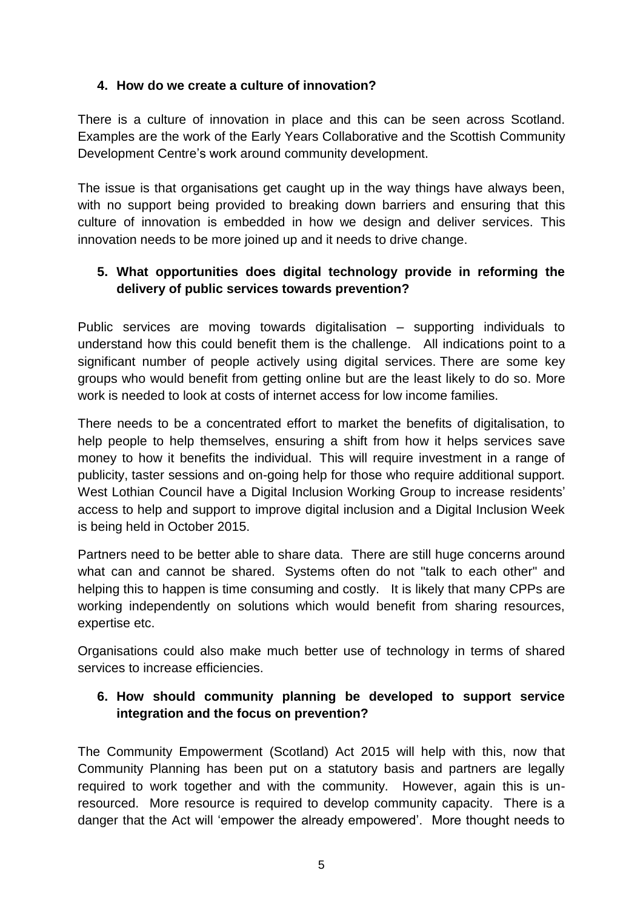### **4. How do we create a culture of innovation?**

There is a culture of innovation in place and this can be seen across Scotland. Examples are the work of the Early Years Collaborative and the Scottish Community Development Centre's work around community development.

The issue is that organisations get caught up in the way things have always been, with no support being provided to breaking down barriers and ensuring that this culture of innovation is embedded in how we design and deliver services. This innovation needs to be more joined up and it needs to drive change.

# **5. What opportunities does digital technology provide in reforming the delivery of public services towards prevention?**

Public services are moving towards digitalisation – supporting individuals to understand how this could benefit them is the challenge. All indications point to a significant number of people actively using digital services. There are some key groups who would benefit from getting online but are the least likely to do so. More work is needed to look at costs of internet access for low income families.

There needs to be a concentrated effort to market the benefits of digitalisation, to help people to help themselves, ensuring a shift from how it helps services save money to how it benefits the individual. This will require investment in a range of publicity, taster sessions and on-going help for those who require additional support. West Lothian Council have a Digital Inclusion Working Group to increase residents' access to help and support to improve digital inclusion and a Digital Inclusion Week is being held in October 2015.

Partners need to be better able to share data. There are still huge concerns around what can and cannot be shared. Systems often do not "talk to each other" and helping this to happen is time consuming and costly. It is likely that many CPPs are working independently on solutions which would benefit from sharing resources, expertise etc.

Organisations could also make much better use of technology in terms of shared services to increase efficiencies.

## **6. How should community planning be developed to support service integration and the focus on prevention?**

The Community Empowerment (Scotland) Act 2015 will help with this, now that Community Planning has been put on a statutory basis and partners are legally required to work together and with the community. However, again this is unresourced. More resource is required to develop community capacity. There is a danger that the Act will 'empower the already empowered'. More thought needs to